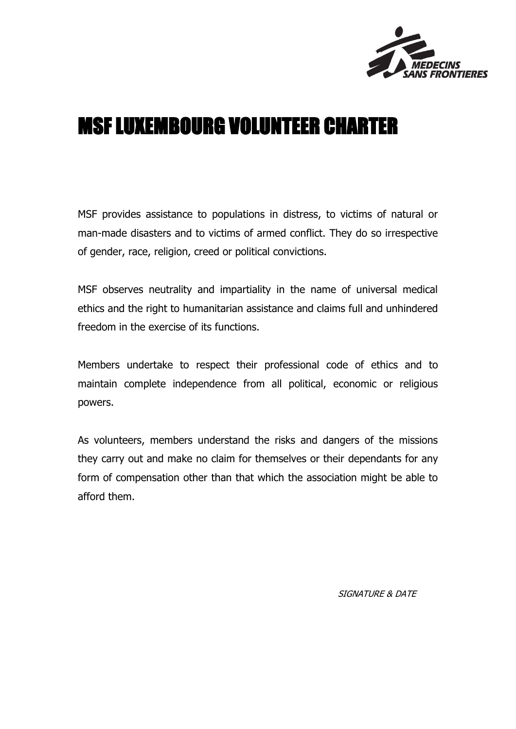

### MSF LUXEMBOURG VOLUNTEER CHARTER

MSF provides assistance to populations in distress, to victims of natural or man-made disasters and to victims of armed conflict. They do so irrespective of gender, race, religion, creed or political convictions.

MSF observes neutrality and impartiality in the name of universal medical ethics and the right to humanitarian assistance and claims full and unhindered freedom in the exercise of its functions.

Members undertake to respect their professional code of ethics and to maintain complete independence from all political, economic or religious powers.

As volunteers, members understand the risks and dangers of the missions they carry out and make no claim for themselves or their dependants for any form of compensation other than that which the association might be able to afford them.

SIGNATURE & DATE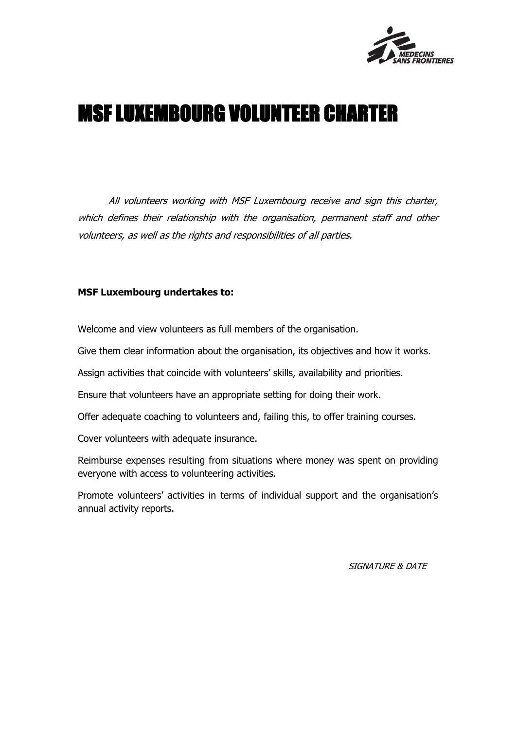

# MSF LUXEMBOURG VOLUNTEER CHARTER

All volunteers working with MSF Luxembourg receive and sign this charter, which defines their relationship with the organisation, permanent staff and other volunteers, as well as the rights and responsibilities of all parties.

#### **MSF Luxembourg undertakes to:**

Welcome and view volunteers as full members of the organisation.

Give them clear information about the organisation, its objectives and how it works.

Assign activities that coincide with volunteers' skills, availability and priorities.

Ensure that volunteers have an appropriate setting for doing their work.

Offer adequate coaching to volunteers and, failing this, to offer training courses.

Cover volunteers with adequate insurance.

Reimburse expenses resulting from situations where money was spent on providing everyone with access to volunteering activities.

Promote volunteers' activities in terms of individual support and the organisation's annual activity reports.

SIGNATURE & DATE